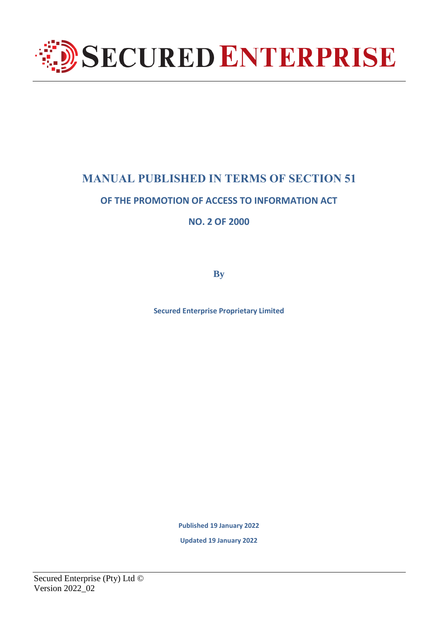

# **MANUAL PUBLISHED IN TERMS OF SECTION 51**

# **OF THE PROMOTION OF ACCESS TO INFORMATION ACT**

**NO. 2 OF 2000**

**By**

**Secured Enterprise Proprietary Limited**

**Published 19 January 2022**

**Updated 19 January 2022**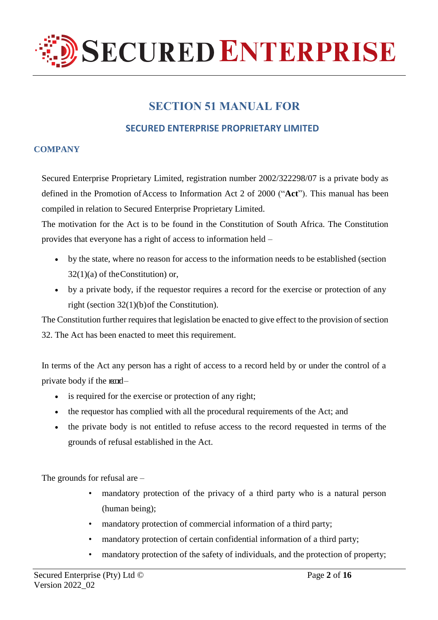

# **SECTION 51 MANUAL FOR**

# **SECURED ENTERPRISE PROPRIETARY LIMITED**

# **COMPANY**

Secured Enterprise Proprietary Limited, registration number 2002/322298/07 is a private body as defined in the Promotion of Access to Information Act 2 of 2000 ("Act"). This manual has been compiled in relation to Secured Enterprise Proprietary Limited.

The motivation for the Act is to be found in the Constitution of South Africa. The Constitution provides that everyone has a right of access to information held –

- by the state, where no reason for access to the information needs to be established (section 32(1)(a) of theConstitution) or,
- by a private body, if the requestor requires a record for the exercise or protection of any right (section 32(1)(b)of the Constitution).

The Constitution further requires that legislation be enacted to give effect to the provision of section 32. The Act has been enacted to meet this requirement.

In terms of the Act any person has a right of access to a record held by or under the control of a private body if the  $\text{mod}-$ 

- is required for the exercise or protection of any right;
- the requestor has complied with all the procedural requirements of the Act; and
- the private body is not entitled to refuse access to the record requested in terms of the grounds of refusal established in the Act.

The grounds for refusal are –

- mandatory protection of the privacy of a third party who is a natural person (human being);
- mandatory protection of commercial information of a third party;
- mandatory protection of certain confidential information of a third party;
- mandatory protection of the safety of individuals, and the protection of property;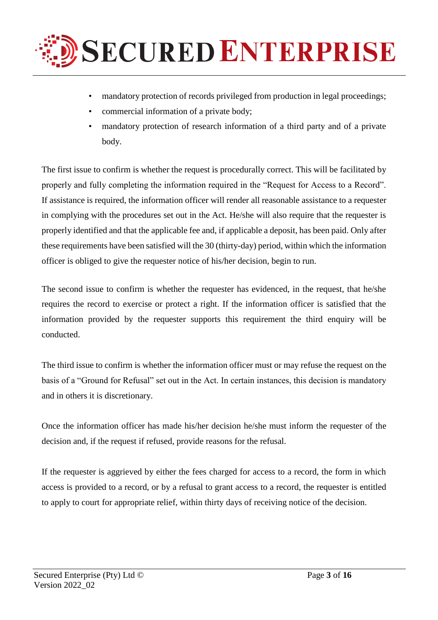

- mandatory protection of records privileged from production in legal proceedings;
- commercial information of a private body;
- mandatory protection of research information of a third party and of a private body.

The first issue to confirm is whether the request is procedurally correct. This will be facilitated by properly and fully completing the information required in the "Request for Access to a Record". If assistance is required, the information officer will render all reasonable assistance to a requester in complying with the procedures set out in the Act. He/she will also require that the requester is properly identified and that the applicable fee and, if applicable a deposit, has been paid. Only after these requirements have been satisfied will the 30 (thirty-day) period, within which the information officer is obliged to give the requester notice of his/her decision, begin to run.

The second issue to confirm is whether the requester has evidenced, in the request, that he/she requires the record to exercise or protect a right. If the information officer is satisfied that the information provided by the requester supports this requirement the third enquiry will be conducted.

The third issue to confirm is whether the information officer must or may refuse the request on the basis of a "Ground for Refusal" set out in the Act. In certain instances, this decision is mandatory and in others it is discretionary.

Once the information officer has made his/her decision he/she must inform the requester of the decision and, if the request if refused, provide reasons for the refusal.

If the requester is aggrieved by either the fees charged for access to a record, the form in which access is provided to a record, or by a refusal to grant access to a record, the requester is entitled to apply to court for appropriate relief, within thirty days of receiving notice of the decision.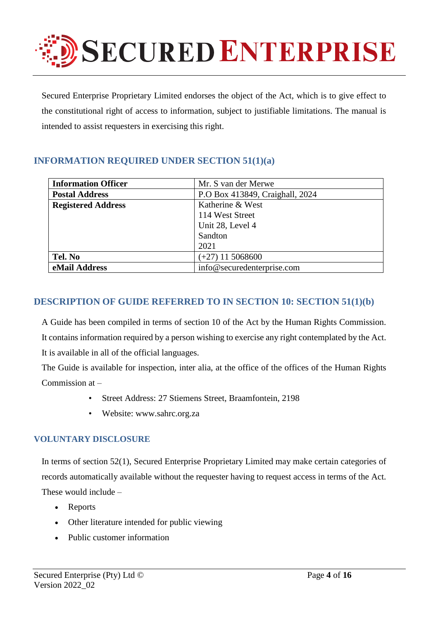

Secured Enterprise Proprietary Limited endorses the object of the Act, which is to give effect to the constitutional right of access to information, subject to justifiable limitations. The manual is intended to assist requesters in exercising this right.

# **INFORMATION REQUIRED UNDER SECTION 51(1)(a)**

| <b>Information Officer</b> | Mr. S van der Merwe             |
|----------------------------|---------------------------------|
| <b>Postal Address</b>      | P.O Box 413849, Craighall, 2024 |
| <b>Registered Address</b>  | Katherine & West                |
|                            | 114 West Street                 |
|                            | Unit 28, Level 4                |
|                            | Sandton                         |
|                            | 2021                            |
| Tel. No                    | $(+27)$ 11 5068600              |
| eMail Address              | info@securedenterprise.com      |

# **DESCRIPTION OF GUIDE REFERRED TO IN SECTION 10: SECTION 51(1)(b)**

A Guide has been compiled in terms of section 10 of the Act by the Human Rights Commission. It contains information required by a person wishing to exercise any right contemplated by the Act. It is available in all of the official languages.

The Guide is available for inspection, inter alia, at the office of the offices of the Human Rights Commission at –

- Street Address: 27 Stiemens Street, Braamfontein, 2198
- Website: [www.sahrc.org.za](http://www.sahrc.org.za/)

## **VOLUNTARY DISCLOSURE**

In terms of section 52(1), Secured Enterprise Proprietary Limited may make certain categories of records automatically available without the requester having to request access in terms of the Act. These would include –

- Reports
- Other literature intended for public viewing
- Public customer information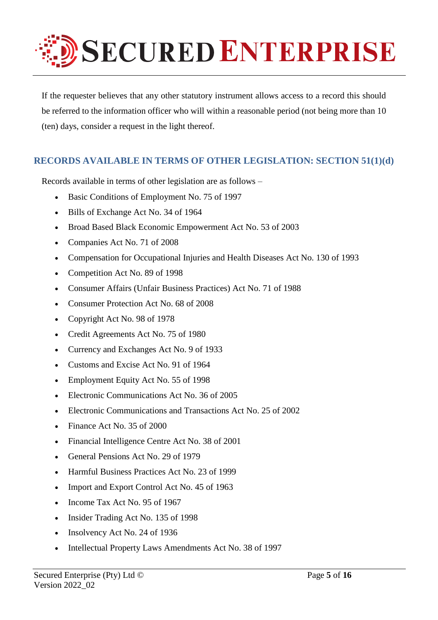

If the requester believes that any other statutory instrument allows access to a record this should be referred to the information officer who will within a reasonable period (not being more than 10 (ten) days, consider a request in the light thereof.

# **RECORDS AVAILABLE IN TERMS OF OTHER LEGISLATION: SECTION 51(1)(d)**

Records available in terms of other legislation are as follows –

- Basic Conditions of Employment No. 75 of 1997
- Bills of Exchange Act No. 34 of 1964
- Broad Based Black Economic Empowerment Act No. 53 of 2003
- Companies Act No. 71 of 2008
- Compensation for Occupational Injuries and Health Diseases Act No. 130 of 1993
- Competition Act No. 89 of 1998
- Consumer Affairs (Unfair Business Practices) Act No. 71 of 1988
- Consumer Protection Act No. 68 of 2008
- Copyright Act No. 98 of 1978
- Credit Agreements Act No. 75 of 1980
- Currency and Exchanges Act No. 9 of 1933
- Customs and Excise Act No. 91 of 1964
- Employment Equity Act No. 55 of 1998
- Electronic Communications Act No. 36 of 2005
- Electronic Communications and Transactions Act No. 25 of 2002
- Finance Act No. 35 of 2000
- Financial Intelligence Centre Act No. 38 of 2001
- General Pensions Act No. 29 of 1979
- Harmful Business Practices Act No. 23 of 1999
- Import and Export Control Act No. 45 of 1963
- Income Tax Act No. 95 of 1967
- Insider Trading Act No. 135 of 1998
- Insolvency Act No. 24 of 1936
- Intellectual Property Laws Amendments Act No. 38 of 1997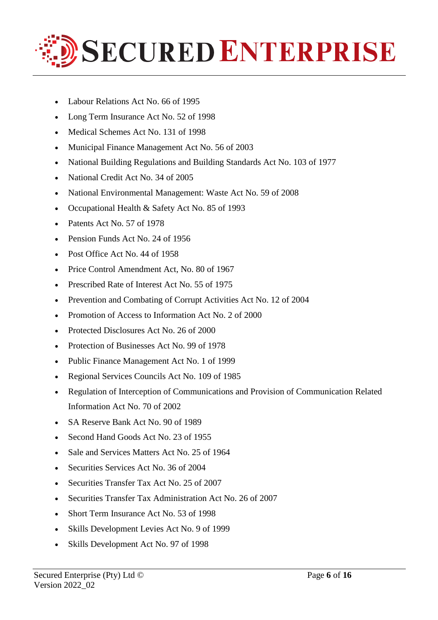

- Labour Relations Act No. 66 of 1995
- Long Term Insurance Act No. 52 of 1998
- Medical Schemes Act No. 131 of 1998
- Municipal Finance Management Act No. 56 of 2003
- National Building Regulations and Building Standards Act No. 103 of 1977
- National Credit Act No. 34 of 2005
- National Environmental Management: Waste Act No. 59 of 2008
- Occupational Health & Safety Act No. 85 of 1993
- Patents Act No. 57 of 1978
- Pension Funds Act No. 24 of 1956
- Post Office Act No. 44 of 1958
- Price Control Amendment Act, No. 80 of 1967
- Prescribed Rate of Interest Act No. 55 of 1975
- Prevention and Combating of Corrupt Activities Act No. 12 of 2004
- Promotion of Access to Information Act No. 2 of 2000
- Protected Disclosures Act No. 26 of 2000
- Protection of Businesses Act No. 99 of 1978
- Public Finance Management Act No. 1 of 1999
- Regional Services Councils Act No. 109 of 1985
- Regulation of Interception of Communications and Provision of Communication Related Information Act No. 70 of 2002
- SA Reserve Bank Act No. 90 of 1989
- Second Hand Goods Act No. 23 of 1955
- Sale and Services Matters Act No. 25 of 1964
- Securities Services Act No. 36 of 2004
- Securities Transfer Tax Act No. 25 of 2007
- Securities Transfer Tax Administration Act No. 26 of 2007
- Short Term Insurance Act No. 53 of 1998
- Skills Development Levies Act No. 9 of 1999
- Skills Development Act No. 97 of 1998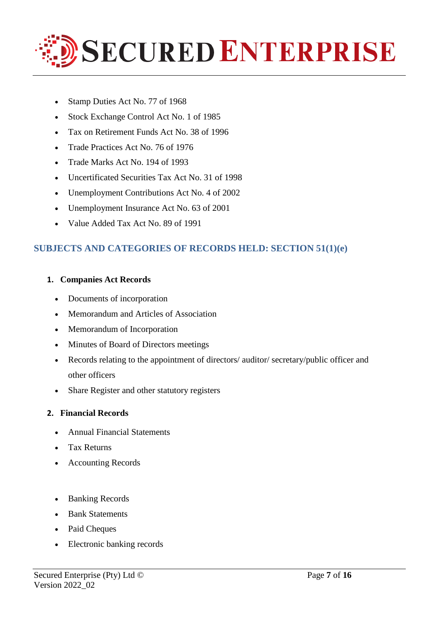

- Stamp Duties Act No. 77 of 1968
- Stock Exchange Control Act No. 1 of 1985
- Tax on Retirement Funds Act No. 38 of 1996
- Trade Practices Act No. 76 of 1976
- Trade Marks Act No. 194 of 1993
- Uncertificated Securities Tax Act No. 31 of 1998
- Unemployment Contributions Act No. 4 of 2002
- Unemployment Insurance Act No. 63 of 2001
- Value Added Tax Act No. 89 of 1991

# **SUBJECTS AND CATEGORIES OF RECORDS HELD: SECTION 51(1)(e)**

## **1. Companies Act Records**

- Documents of incorporation
- Memorandum and Articles of Association
- Memorandum of Incorporation
- Minutes of Board of Directors meetings
- Records relating to the appointment of directors/ auditor/ secretary/public officer and other officers
- Share Register and other statutory registers

## **2. Financial Records**

- Annual Financial Statements
- Tax Returns
- Accounting Records
- Banking Records
- Bank Statements
- Paid Cheques
- Electronic banking records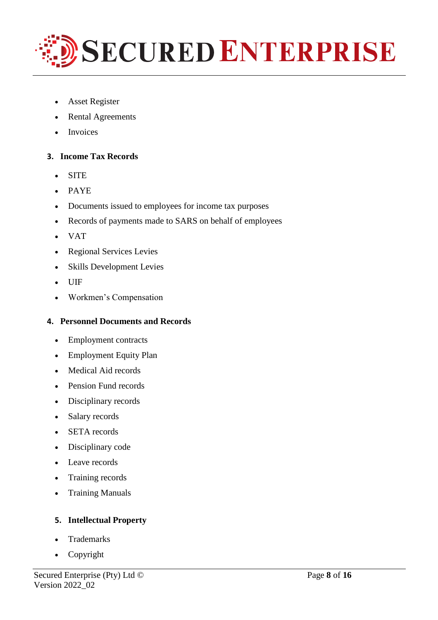

- Asset Register
- Rental Agreements
- Invoices

### **3. Income Tax Records**

- SITE
- PAYE
- Documents issued to employees for income tax purposes
- Records of payments made to SARS on behalf of employees
- VAT
- Regional Services Levies
- Skills Development Levies
- UIF
- Workmen's Compensation

### **4. Personnel Documents and Records**

- Employment contracts
- Employment Equity Plan
- Medical Aid records
- Pension Fund records
- Disciplinary records
- Salary records
- SETA records
- Disciplinary code
- Leave records
- Training records
- Training Manuals

## **5. Intellectual Property**

- Trademarks
- Copyright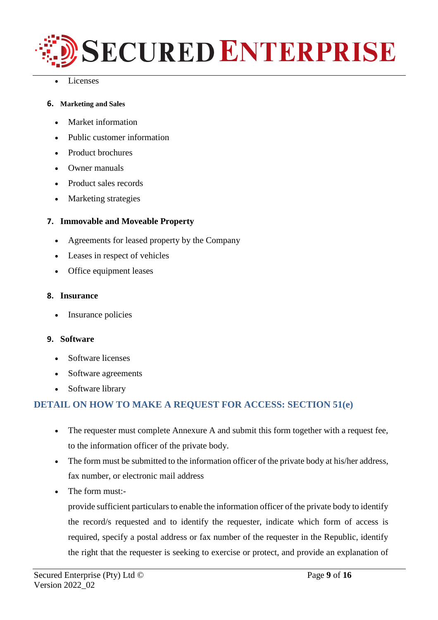

Licenses

### **6. Marketing and Sales**

- Market information
- Public customer information
- Product brochures
- Owner manuals
- Product sales records
- Marketing strategies

### **7. Immovable and Moveable Property**

- Agreements for leased property by the Company
- Leases in respect of vehicles
- Office equipment leases

### **8. Insurance**

• Insurance policies

### **9. Software**

- Software licenses
- Software agreements
- Software library

# **DETAIL ON HOW TO MAKE A REQUEST FOR ACCESS: SECTION 51(e)**

- The requester must complete Annexure A and submit this form together with a request fee, to the information officer of the private body.
- The form must be submitted to the information officer of the private body at his/her address, fax number, or electronic mail address
- The form must:-

provide sufficient particulars to enable the information officer of the private body to identify the record/s requested and to identify the requester, indicate which form of access is required, specify a postal address or fax number of the requester in the Republic, identify the right that the requester is seeking to exercise or protect, and provide an explanation of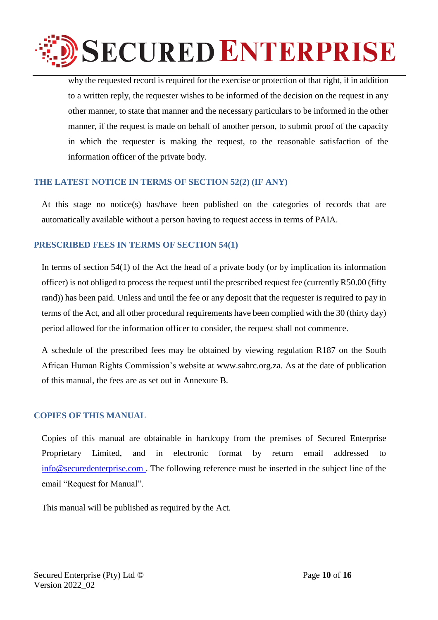

why the requested record is required for the exercise or protection of that right, if in addition to a written reply, the requester wishes to be informed of the decision on the request in any other manner, to state that manner and the necessary particulars to be informed in the other manner, if the request is made on behalf of another person, to submit proof of the capacity in which the requester is making the request, to the reasonable satisfaction of the information officer of the private body.

## **THE LATEST NOTICE IN TERMS OF SECTION 52(2) (IF ANY)**

At this stage no notice(s) has/have been published on the categories of records that are automatically available without a person having to request access in terms of PAIA.

# **PRESCRIBED FEES IN TERMS OF SECTION 54(1)**

In terms of section 54(1) of the Act the head of a private body (or by implication its information officer) is not obliged to process the request until the prescribed request fee (currently R50.00 (fifty rand)) has been paid. Unless and until the fee or any deposit that the requester is required to pay in terms of the Act, and all other procedural requirements have been complied with the 30 (thirty day) period allowed for the information officer to consider, the request shall not commence.

A schedule of the prescribed fees may be obtained by viewing regulation R187 on the South African Human Rights Commission's website at [www.sahrc.org.za.](http://www.sahrc.org.za/) As at the date of publication of this manual, the fees are as set out in Annexure B.

## **COPIES OF THIS MANUAL**

Copies of this manual are obtainable in hardcopy from the premises of Secured Enterprise Proprietary Limited, and in electronic format by return email addressed to [info@securedenterprise.com .](mailto:info@securedenterprise.com) The following reference must be inserted in the subject line of the email "Request for Manual".

This manual will be published as required by the Act.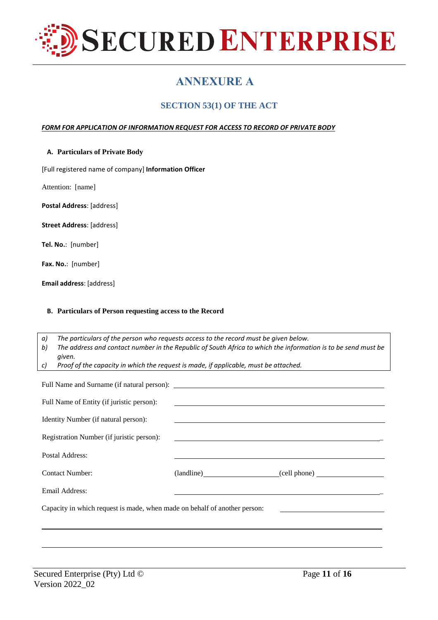

# **ANNEXURE A**

# **SECTION 53(1) OF THE ACT**

#### *FORM FOR APPLICATION OF INFORMATION REQUEST FOR ACCESS TO RECORD OF PRIVATE BODY*

|  |  | A. Particulars of Private Body |  |
|--|--|--------------------------------|--|
|--|--|--------------------------------|--|

[Full registered name of company] **Information Officer**

Attention: [name]

**Postal Address**: [address]

**Street Address**: [address]

**Tel. No.**: [number]

**Fax. No.**: [number]

**Email address**: [address]

#### **B. Particulars of Person requesting access to the Record**

*a) The particulars of the person who requests access to the record must be given below.* b) The address and contact number in the Republic of South Africa to which the information is to be send must be *given.*

*c) Proof of the capacity in which the request is made, if applicable, must be attached.*

| Full Name of Entity (if juristic person):                                                                                                                                                        |                                                                      |                         |  |
|--------------------------------------------------------------------------------------------------------------------------------------------------------------------------------------------------|----------------------------------------------------------------------|-------------------------|--|
| Identity Number (if natural person):                                                                                                                                                             | <u> 1990 - Johann Stoff, amerikansk politiker (d. 1980)</u>          |                         |  |
| Registration Number (if juristic person):                                                                                                                                                        | <u> 1989 - Johann Stein, markin sanadi shekara mashrida ma'lumot</u> |                         |  |
| Postal Address:                                                                                                                                                                                  |                                                                      |                         |  |
| <b>Contact Number:</b>                                                                                                                                                                           |                                                                      | (landline) (cell phone) |  |
| Email Address:                                                                                                                                                                                   |                                                                      |                         |  |
| Capacity in which request is made, when made on behalf of another person:<br><u> 1989 - Johann Barn, mars eta bainar eta bat erroman erroman erroman erroman erroman erroman erroman erroman</u> |                                                                      |                         |  |
|                                                                                                                                                                                                  |                                                                      |                         |  |
|                                                                                                                                                                                                  |                                                                      |                         |  |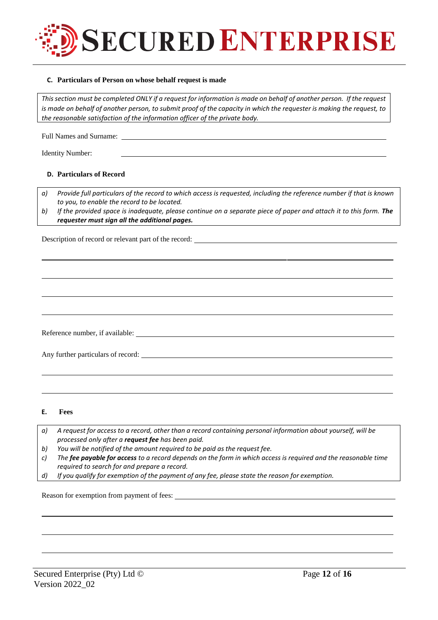

#### **C. Particulars of Person on whose behalf request is made**

This section must be completed ONLY if a request for information is made on behalf of another person. If the request is made on behalf of another person, to submit proof of the capacity in which the requester is making the request, to *the reasonable satisfaction of the information officer of the private body.*

Full Names and Surname:

Identity Number:

#### **D. Particulars of Record**

*a) Provide full particulars of the record to which access is requested, including the reference number if that is known to you, to enable the record to be located.*

b) If the provided space is inadequate, please continue on a separate piece of paper and attach it to this form. The *requester must sign all the additional pages.*

Description of record or relevant part of the record:

Reference number, if available:

Any further particulars of record:

**E. Fees**

| a) A request for access to a record, other than a record containing personal information about yourself, will be |
|------------------------------------------------------------------------------------------------------------------|
| processed only after a <b>request fee</b> has been paid.                                                         |

- *b) You will be notified of the amount required to be paid as the request fee.*
- c) The fee payable for access to a record depends on the form in which access is required and the reasonable time *required to search for and prepare a record.*
- *d) If you qualify for exemption of the payment of any fee, please state the reason for exemption.*

Reason for exemption from payment of fees: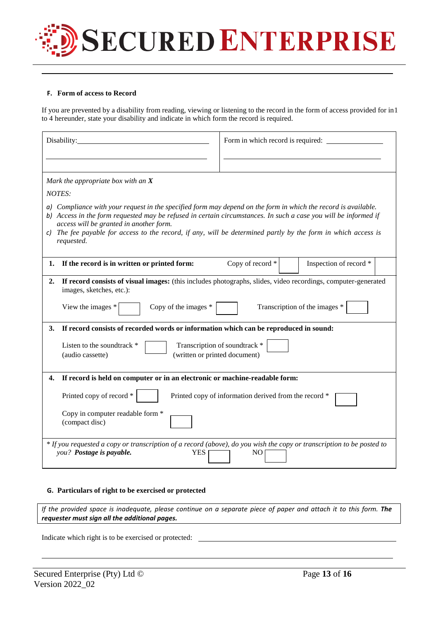

#### **F. Form of access to Record**

If you are prevented by a disability from reading, viewing or listening to the record in the form of access provided for in1 to 4 hereunder, state your disability and indicate in which form the record is required.

| Disability:                                                                                                                                                                                                                                                                                                                                                                                                 | Form in which record is required:                     |  |  |
|-------------------------------------------------------------------------------------------------------------------------------------------------------------------------------------------------------------------------------------------------------------------------------------------------------------------------------------------------------------------------------------------------------------|-------------------------------------------------------|--|--|
|                                                                                                                                                                                                                                                                                                                                                                                                             |                                                       |  |  |
| Mark the appropriate box with an $X$                                                                                                                                                                                                                                                                                                                                                                        |                                                       |  |  |
| NOTES:                                                                                                                                                                                                                                                                                                                                                                                                      |                                                       |  |  |
| a) Compliance with your request in the specified form may depend on the form in which the record is available.<br>b) Access in the form requested may be refused in certain circumstances. In such a case you will be informed if<br>access will be granted in another form.<br>c) The fee payable for access to the record, if any, will be determined partly by the form in which access is<br>requested. |                                                       |  |  |
| If the record is in written or printed form:<br>1.                                                                                                                                                                                                                                                                                                                                                          | Copy of record *<br>Inspection of record *            |  |  |
| If record consists of visual images: (this includes photographs, slides, video recordings, computer-generated<br>2.<br>images, sketches, etc.):<br>Transcription of the images *<br>View the images *<br>Copy of the images $*$                                                                                                                                                                             |                                                       |  |  |
| If record consists of recorded words or information which can be reproduced in sound:<br>3.<br>Transcription of soundtrack *<br>Listen to the soundtrack *<br>(written or printed document)<br>(audio cassette)                                                                                                                                                                                             |                                                       |  |  |
| If record is held on computer or in an electronic or machine-readable form:<br>4.                                                                                                                                                                                                                                                                                                                           |                                                       |  |  |
| Printed copy of record *                                                                                                                                                                                                                                                                                                                                                                                    | Printed copy of information derived from the record * |  |  |
| Copy in computer readable form *<br>(compact disc)                                                                                                                                                                                                                                                                                                                                                          |                                                       |  |  |
| * If you requested a copy or transcription of a record (above), do you wish the copy or transcription to be posted to<br>you? Postage is payable.<br>YES.<br>NO.                                                                                                                                                                                                                                            |                                                       |  |  |

#### **G. Particulars of right to be exercised or protected**

If the provided space is inadequate, please continue on a separate piece of paper and attach it to this form. The *requester must sign all the additional pages.*

Indicate which right is to be exercised or protected: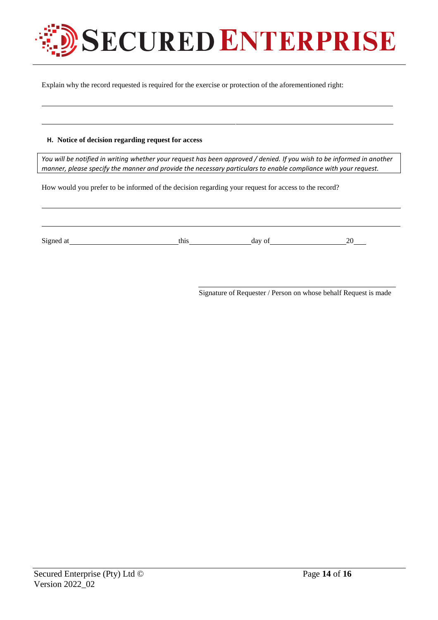

Explain why the record requested is required for the exercise or protection of the aforementioned right:

#### **H. Notice of decision regarding request for access**

You will be notified in writing whether your request has been approved / denied. If you wish to be informed in another *manner, please specify the manner and provide the necessary particulars to enable compliance with your request.*

How would you prefer to be informed of the decision regarding your request for access to the record?

Signed at this day of 20

Signature of Requester / Person on whose behalf Request is made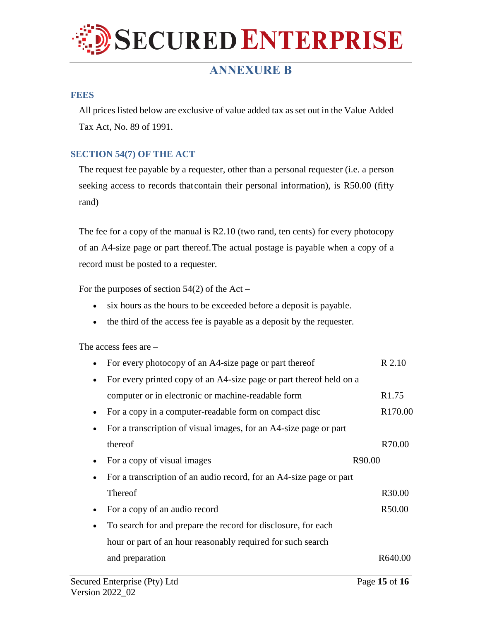

# **ANNEXURE B**

#### **FEES**

All prices listed below are exclusive of value added tax as set out in the Value Added Tax Act, No. 89 of 1991.

### **SECTION 54(7) OF THE ACT**

The request fee payable by a requester, other than a personal requester (i.e. a person seeking access to records thatcontain their personal information), is R50.00 (fifty rand)

The fee for a copy of the manual is R2.10 (two rand, ten cents) for every photocopy of an A4-size page or part thereof.The actual postage is payable when a copy of a record must be posted to a requester.

For the purposes of section  $54(2)$  of the Act –

- six hours as the hours to be exceeded before a deposit is payable.
- the third of the access fee is payable as a deposit by the requester.

The access fees are –

| For every photocopy of an A4-size page or part thereof              | R 2.10              |
|---------------------------------------------------------------------|---------------------|
| For every printed copy of an A4-size page or part thereof held on a |                     |
| computer or in electronic or machine-readable form                  | R <sub>1.75</sub>   |
| For a copy in a computer-readable form on compact disc              | R <sub>170.00</sub> |
| For a transcription of visual images, for an A4-size page or part   |                     |
| thereof                                                             | R70.00              |
| For a copy of visual images                                         | R90.00              |
| For a transcription of an audio record, for an A4-size page or part |                     |
| <b>Thereof</b>                                                      | R30.00              |
| For a copy of an audio record                                       | R50.00              |
| To search for and prepare the record for disclosure, for each       |                     |
| hour or part of an hour reasonably required for such search         |                     |
| and preparation                                                     | R640.00             |
|                                                                     |                     |